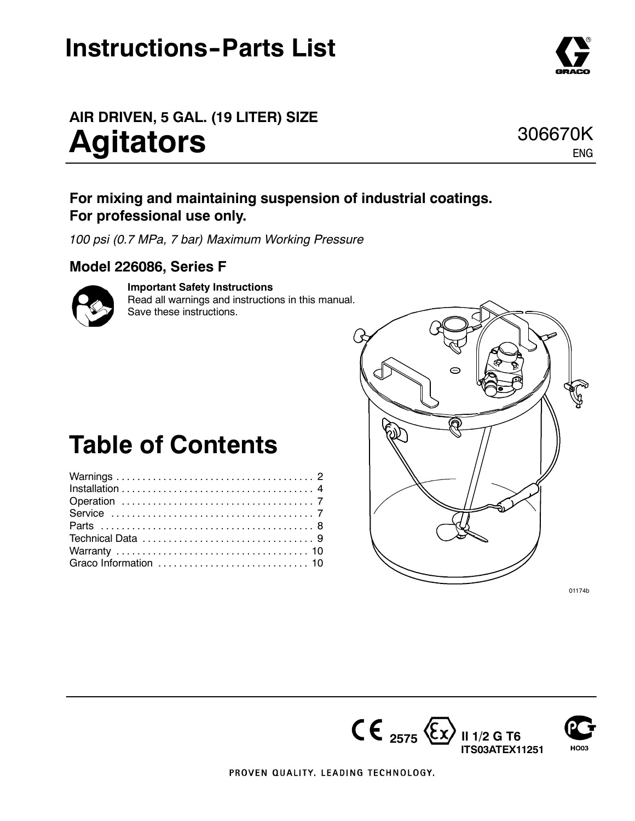## **Instructions-Parts List**

## **AIR DRIVEN, 5 GAL. (19 LITER) SIZE Agitators**

### **For mixing and maintaining suspension of industrial coatings. For professional use only.**

*100 psi (0.7 MPa, 7 bar) Maximum Working Pressure*

### **Model 226086, Series F**

### **Important Safety Instructions**

Read all warnings and instructions in this manual. Save these instructions.

## **Table of Contents**



01174b







ENG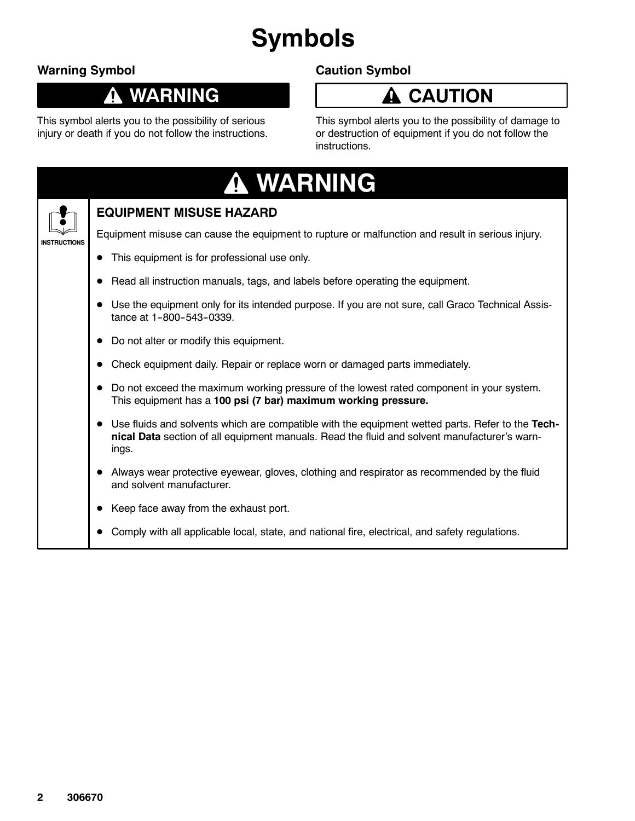# **Symbols**

### **Warning Symbol**

### **WARNING** Û

This symbol alerts you to the possibility of serious injury or death if you do not follow the instructions.

### **Caution Symbol**



This symbol alerts you to the possibility of damage to or destruction of equipment if you do not follow the instructions.

| <b>A WARNING</b>                                                                                                                                                                                 |              |
|--------------------------------------------------------------------------------------------------------------------------------------------------------------------------------------------------|--------------|
| <b>EQUIPMENT MISUSE HAZARD</b>                                                                                                                                                                   |              |
| Equipment misuse can cause the equipment to rupture or malfunction and result in serious injury.                                                                                                 | INSTRUCTIONS |
| This equipment is for professional use only.                                                                                                                                                     |              |
| Read all instruction manuals, tags, and labels before operating the equipment.                                                                                                                   |              |
| Use the equipment only for its intended purpose. If you are not sure, call Graco Technical Assis-                                                                                                |              |
| Do not alter or modify this equipment.                                                                                                                                                           |              |
| Check equipment daily. Repair or replace worn or damaged parts immediately.                                                                                                                      |              |
| Do not exceed the maximum working pressure of the lowest rated component in your system.<br>This equipment has a 100 psi (7 bar) maximum working pressure.                                       |              |
| Use fluids and solvents which are compatible with the equipment wetted parts. Refer to the Tech-<br>nical Data section of all equipment manuals. Read the fluid and solvent manufacturer's warn- |              |
| Always wear protective eyewear, gloves, clothing and respirator as recommended by the fluid                                                                                                      |              |
| Keep face away from the exhaust port.                                                                                                                                                            |              |
| Comply with all applicable local, state, and national fire, electrical, and safety regulations.                                                                                                  |              |
|                                                                                                                                                                                                  |              |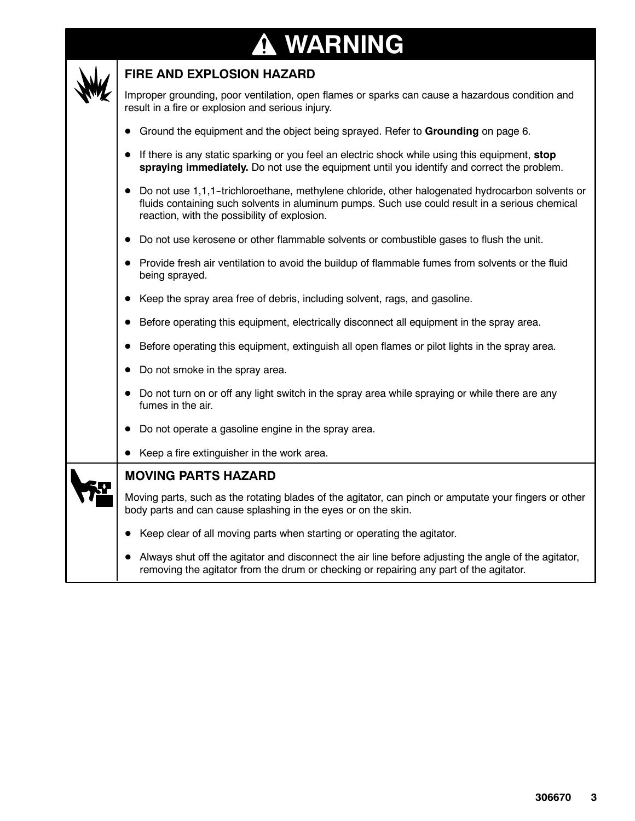### **WARNING** $\bf \Phi$



### **FIRE AND EXPLOSION HAZARD**

Improper grounding, poor ventilation, open flames or sparks can cause a hazardous condition and result in a fire or explosion and serious injury.

- D Ground the equipment and the object being sprayed. Refer to **Grounding** on page 6.
- If there is any static sparking or you feel an electric shock while using this equipment, stop **spraying immediately.** Do not use the equipment until you identify and correct the problem.
- Do not use 1,1,1-trichloroethane, methylene chloride, other halogenated hydrocarbon solvents or fluids containing such solvents in aluminum pumps. Such use could result in a serious chemical reaction, with the possibility of explosion.
- Do not use kerosene or other flammable solvents or combustible gases to flush the unit.
- Provide fresh air ventilation to avoid the buildup of flammable fumes from solvents or the fluid being sprayed.
- Keep the spray area free of debris, including solvent, rags, and gasoline.
- Before operating this equipment, electrically disconnect all equipment in the spray area.
- D Before operating this equipment, extinguish all open flames or pilot lights in the spray area.
- Do not smoke in the spray area.
- Do not turn on or off any light switch in the spray area while spraying or while there are any fumes in the air.
- Do not operate a gasoline engine in the spray area.
- $\bullet$  Keep a fire extinguisher in the work area.

### **MOVING PARTS HAZARD**

Moving parts, such as the rotating blades of the agitator, can pinch or amputate your fingers or other body parts and can cause splashing in the eyes or on the skin.

- Keep clear of all moving parts when starting or operating the agitator.
- Always shut off the agitator and disconnect the air line before adjusting the angle of the agitator, removing the agitator from the drum or checking or repairing any part of the agitator.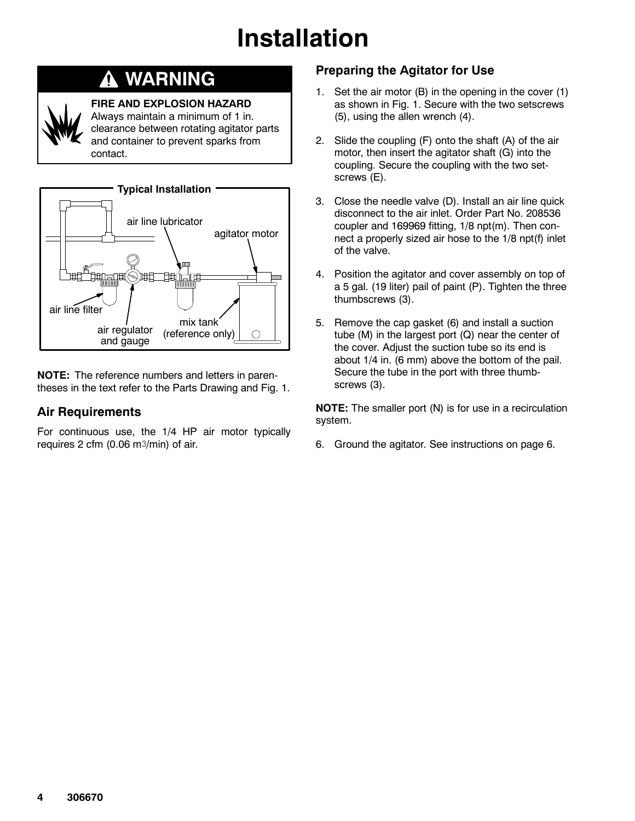## **Installation**

#### **WARNING** Δ



### **FIRE AND EXPLOSION HAZARD**

Always maintain a minimum of 1 in. clearance between rotating agitator parts and container to prevent sparks from contact.



**NOTE:** The reference numbers and letters in parentheses in the text refer to the Parts Drawing and Fig. 1.

### **Air Requirements**

For continuous use, the 1/4 HP air motor typically requires 2 cfm (0.06 m $3$ /min) of air.

### **Preparing the Agitator for Use**

- 1. Set the air motor (B) in the opening in the cover (1) as shown in Fig. 1. Secure with the two setscrews (5), using the allen wrench (4).
- 2. Slide the coupling (F) onto the shaft (A) of the air motor, then insert the agitator shaft (G) into the coupling. Secure the coupling with the two setscrews (E).
- 3. Close the needle valve (D). Install an air line quick disconnect to the air inlet. Order Part No. 208536 coupler and 169969 fitting, 1/8 npt(m). Then connect a properly sized air hose to the 1/8 npt(f) inlet of the valve.
- 4. Position the agitator and cover assembly on top of a 5 gal. (19 liter) pail of paint (P). Tighten the three thumbscrews (3).
- 5. Remove the cap gasket (6) and install a suction tube (M) in the largest port (Q) near the center of the cover. Adjust the suction tube so its end is about 1/4 in. (6 mm) above the bottom of the pail. Secure the tube in the port with three thumbscrews (3).

**NOTE:** The smaller port (N) is for use in a recirculation system.

6. Ground the agitator. See instructions on page 6.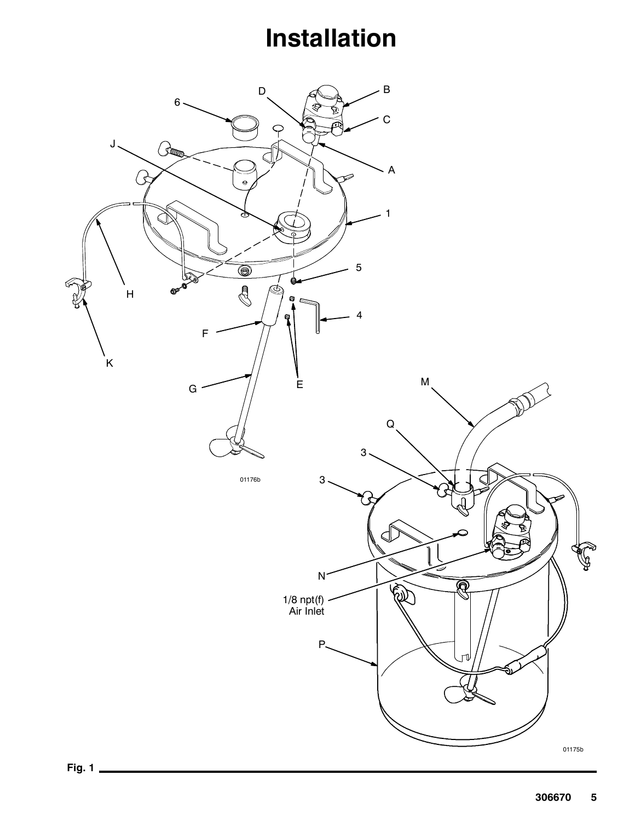## **Installation**

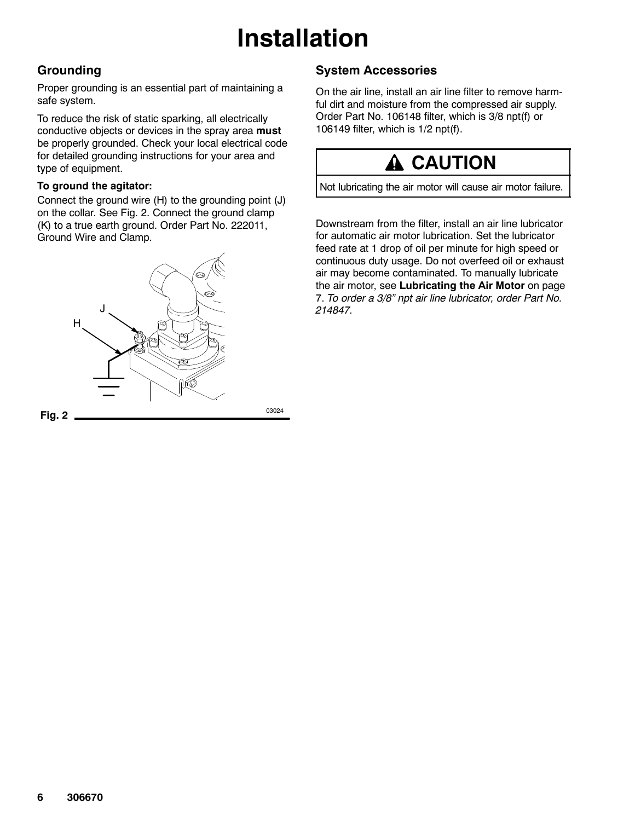## **Installation**

### **Grounding**

Proper grounding is an essential part of maintaining a safe system.

To reduce the risk of static sparking, all electrically conductive objects or devices in the spray area **must** be properly grounded. Check your local electrical code for detailed grounding instructions for your area and type of equipment.

### **To ground the agitator:**

Connect the ground wire (H) to the grounding point (J) on the collar. See Fig. 2. Connect the ground clamp (K) to a true earth ground. Order Part No. 222011, Ground Wire and Clamp.



### **System Accessories**

On the air line, install an air line filter to remove harmful dirt and moisture from the compressed air supply. Order Part No. 106148 filter, which is 3/8 npt(f) or 106149 filter, which is 1/2 npt(f).

## **A** CAUTION

Not lubricating the air motor will cause air motor failure.

Downstream from the filter, install an air line lubricator for automatic air motor lubrication. Set the lubricator feed rate at 1 drop of oil per minute for high speed or continuous duty usage. Do not overfeed oil or exhaust air may become contaminated. To manually lubricate the air motor, see **Lubricating the Air Motor** on page 7. *To order a 3/8" npt air line lubricator, order Part No. 214847.*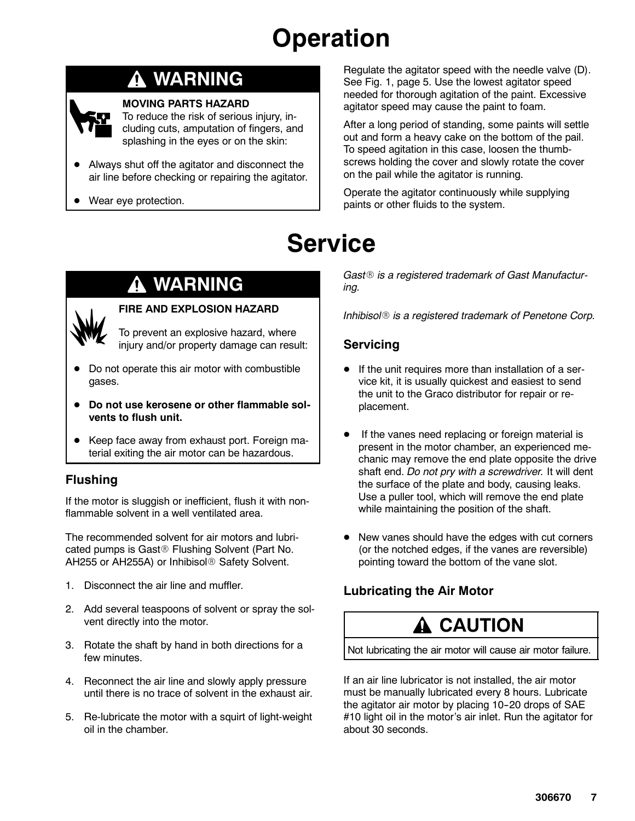## **Operation**

### **WARNING**



### **MOVING PARTS HAZARD**

To reduce the risk of serious injury, including cuts, amputation of fingers, and splashing in the eyes or on the skin:

- Always shut off the agitator and disconnect the air line before checking or repairing the agitator.
- Wear eye protection.

## **Service**

### **WARNING**

### **FIRE AND EXPLOSION HAZARD**

To prevent an explosive hazard, where injury and/or property damage can result:

- Do not operate this air motor with combustible gases.
- Do not use kerosene or other flammable sol**vents to flush unit.**
- Keep face away from exhaust port. Foreign material exiting the air motor can be hazardous.

### **Flushing**

If the motor is sluggish or inefficient, flush it with nonflammable solvent in a well ventilated area.

The recommended solvent for air motors and lubricated pumps is Gast<sup>®</sup> Flushing Solvent (Part No. AH255 or AH255A) or Inhibisol<sup>®</sup> Safety Solvent.

- 1. Disconnect the air line and muffler.
- 2. Add several teaspoons of solvent or spray the solvent directly into the motor.
- 3. Rotate the shaft by hand in both directions for a few minutes.
- 4. Reconnect the air line and slowly apply pressure until there is no trace of solvent in the exhaust air.
- 5. Re-lubricate the motor with a squirt of light-weight oil in the chamber.

Regulate the agitator speed with the needle valve (D). See Fig. 1, page 5. Use the lowest agitator speed needed for thorough agitation of the paint. Excessive agitator speed may cause the paint to foam.

After a long period of standing, some paints will settle out and form a heavy cake on the bottom of the pail. To speed agitation in this case, loosen the thumbscrews holding the cover and slowly rotate the cover on the pail while the agitator is running.

Operate the agitator continuously while supplying paints or other fluids to the system.

Gast<sup>®</sup> is a registered trademark of Gast Manufactur*ing.*

*Inhibisol*® *is a registered trademark of Penetone Corp.* 

### **Servicing**

- If the unit requires more than installation of a service kit, it is usually quickest and easiest to send the unit to the Graco distributor for repair or replacement.
- If the vanes need replacing or foreign material is present in the motor chamber, an experienced mechanic may remove the end plate opposite the drive shaft end. *Do not pry with a screwdriver.* It will dent the surface of the plate and body, causing leaks. Use a puller tool, which will remove the end plate while maintaining the position of the shaft.
- New vanes should have the edges with cut corners (or the notched edges, if the vanes are reversible) pointing toward the bottom of the vane slot.

### **Lubricating the Air Motor**

### **CAUTION**

Not lubricating the air motor will cause air motor failure.

If an air line lubricator is not installed, the air motor must be manually lubricated every 8 hours. Lubricate the agitator air motor by placing 10-20 drops of SAE #10 light oil in the motor's air inlet. Run the agitator for about 30 seconds.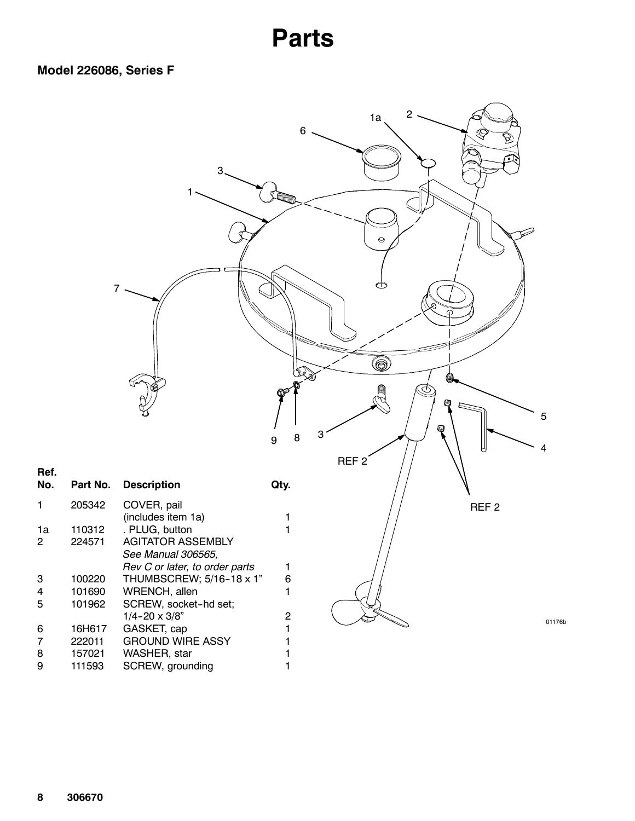### **Parts**



**Ref.**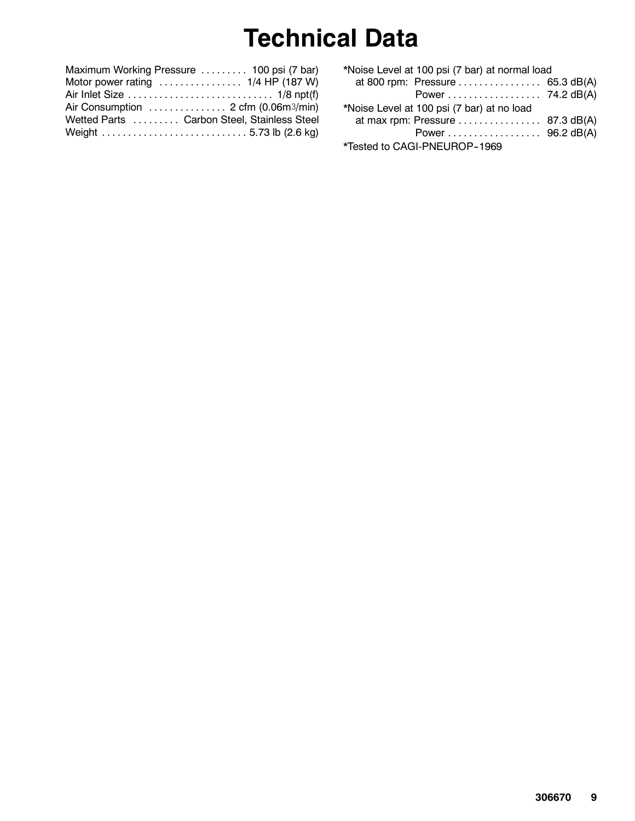## **Technical Data**

| Maximum Working Pressure  100 psi (7 bar)                              |
|------------------------------------------------------------------------|
| Motor power rating $\ldots \ldots \ldots \ldots \ldots$ 1/4 HP (187 W) |
|                                                                        |
| Air Consumption  2 cfm (0.06m3/min)                                    |
| Wetted Parts  Carbon Steel, Stainless Steel                            |
|                                                                        |

| *Noise Level at 100 psi (7 bar) at normal load |  |  |  |  |
|------------------------------------------------|--|--|--|--|
| at 800 rpm: Pressure  65.3 dB(A)               |  |  |  |  |
| Power 74.2 dB(A)                               |  |  |  |  |
| *Noise Level at 100 psi (7 bar) at no load     |  |  |  |  |
| at max rpm: Pressure  87.3 dB(A)               |  |  |  |  |
| Power 96.2 dB(A)                               |  |  |  |  |
| *Tested to CAGI-PNEUROP-1969                   |  |  |  |  |